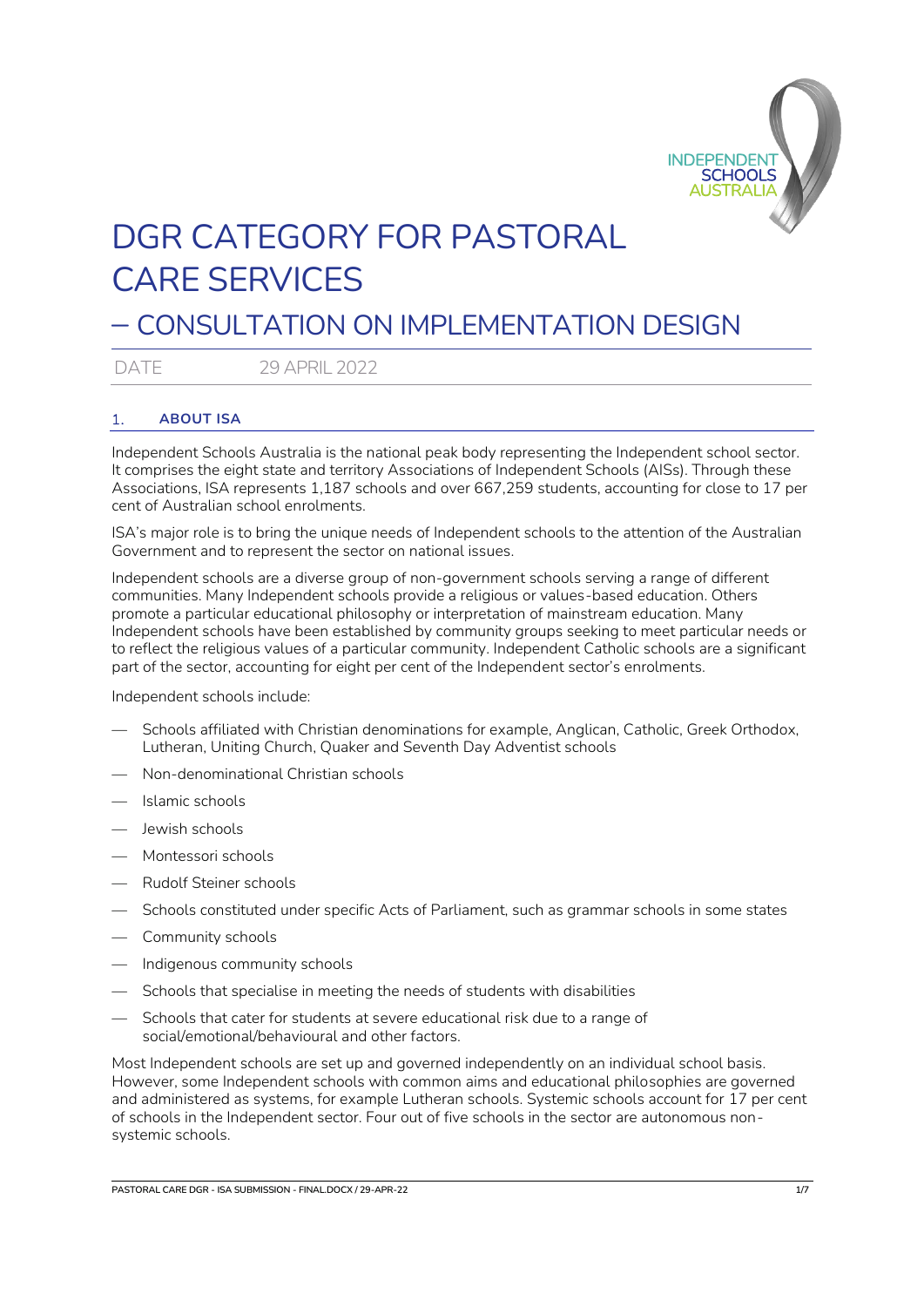

# DGR CATEGORY FOR PASTORAL CARE SERVICES

# – CONSULTATION ON IMPLEMENTATION DESIGN

DATE 29 APRIL 2022

# 1. **ABOUT ISA**

Independent Schools Australia is the national peak body representing the Independent school sector. It comprises the eight state and territory Associations of Independent Schools (AISs). Through these Associations, ISA represents 1,187 schools and over 667,259 students, accounting for close to 17 per cent of Australian school enrolments.

ISA's major role is to bring the unique needs of Independent schools to the attention of the Australian Government and to represent the sector on national issues.

Independent schools are a diverse group of non-government schools serving a range of different communities. Many Independent schools provide a religious or values-based education. Others promote a particular educational philosophy or interpretation of mainstream education. Many Independent schools have been established by community groups seeking to meet particular needs or to reflect the religious values of a particular community. Independent Catholic schools are a significant part of the sector, accounting for eight per cent of the Independent sector's enrolments.

Independent schools include:

- Schools affiliated with Christian denominations for example, Anglican, Catholic, Greek Orthodox, Lutheran, Uniting Church, Quaker and Seventh Day Adventist schools
- Non-denominational Christian schools
- Islamic schools
- Jewish schools
- Montessori schools
- Rudolf Steiner schools
- Schools constituted under specific Acts of Parliament, such as grammar schools in some states
- Community schools
- Indigenous community schools
- Schools that specialise in meeting the needs of students with disabilities
- Schools that cater for students at severe educational risk due to a range of social/emotional/behavioural and other factors.

Most Independent schools are set up and governed independently on an individual school basis. However, some Independent schools with common aims and educational philosophies are governed and administered as systems, for example Lutheran schools. Systemic schools account for 17 per cent of schools in the Independent sector. Four out of five schools in the sector are autonomous nonsystemic schools.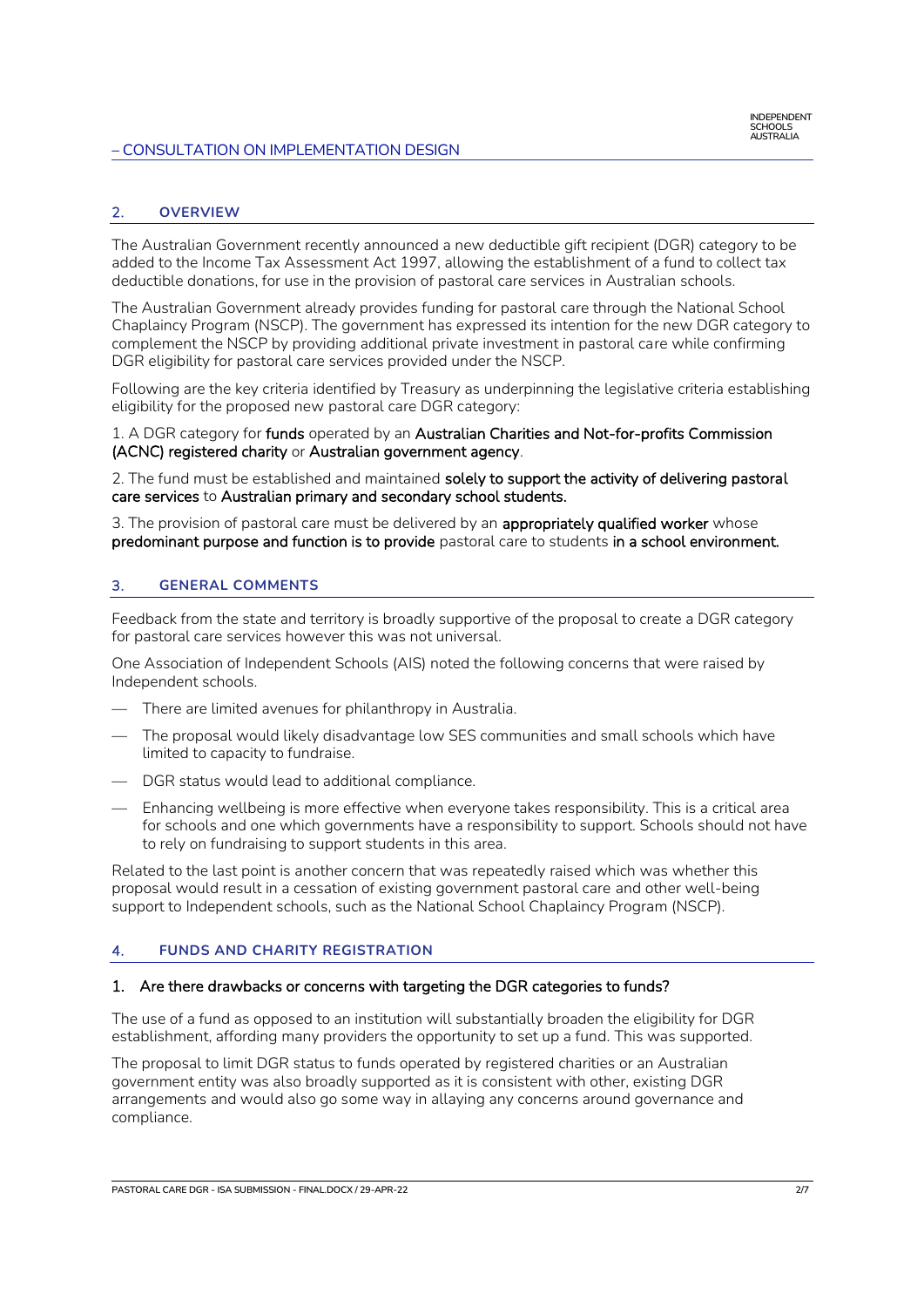# 2. **OVERVIEW**

The Australian Government recently announced a new deductible gift recipient (DGR) category to be added to the Income Tax Assessment Act 1997, allowing the establishment of a fund to collect tax deductible donations, for use in the provision of pastoral care services in Australian schools.

The Australian Government already provides funding for pastoral care through the National School Chaplaincy Program (NSCP). The government has expressed its intention for the new DGR category to complement the NSCP by providing additional private investment in pastoral care while confirming DGR eligibility for pastoral care services provided under the NSCP.

Following are the key criteria identified by Treasury as underpinning the legislative criteria establishing eligibility for the proposed new pastoral care DGR category:

1. A DGR category for funds operated by an Australian Charities and Not-for-profits Commission (ACNC) registered charity or Australian government agency.

2. The fund must be established and maintained solely to support the activity of delivering pastoral care services to Australian primary and secondary school students.

3. The provision of pastoral care must be delivered by an **appropriately qualified worker** whose predominant purpose and function is to provide pastoral care to students in a school environment.

# 3. **GENERAL COMMENTS**

Feedback from the state and territory is broadly supportive of the proposal to create a DGR category for pastoral care services however this was not universal.

One Association of Independent Schools (AIS) noted the following concerns that were raised by Independent schools.

- There are limited avenues for philanthropy in Australia.
- The proposal would likely disadvantage low SES communities and small schools which have limited to capacity to fundraise.
- DGR status would lead to additional compliance.
- Enhancing wellbeing is more effective when everyone takes responsibility. This is a critical area for schools and one which governments have a responsibility to support. Schools should not have to rely on fundraising to support students in this area.

Related to the last point is another concern that was repeatedly raised which was whether this proposal would result in a cessation of existing government pastoral care and other well-being support to Independent schools, such as the National School Chaplaincy Program (NSCP).

# 4. **FUNDS AND CHARITY REGISTRATION**

#### 1. Are there drawbacks or concerns with targeting the DGR categories to funds?

The use of a fund as opposed to an institution will substantially broaden the eligibility for DGR establishment, affording many providers the opportunity to set up a fund. This was supported.

The proposal to limit DGR status to funds operated by registered charities or an Australian government entity was also broadly supported as it is consistent with other, existing DGR arrangements and would also go some way in allaying any concerns around governance and compliance.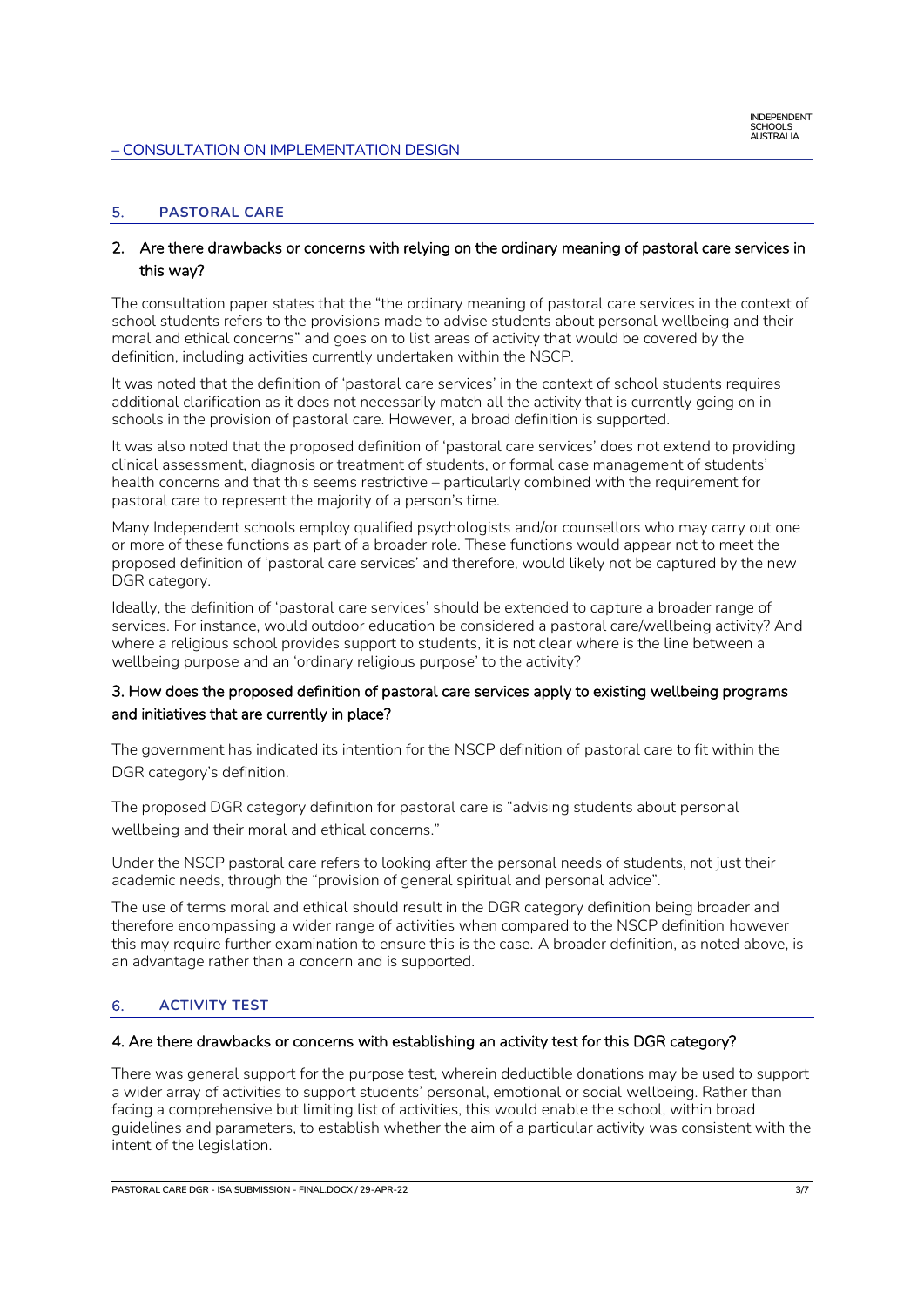# 5. **PASTORAL CARE**

# 2. Are there drawbacks or concerns with relying on the ordinary meaning of pastoral care services in this way?

The consultation paper states that the "the ordinary meaning of pastoral care services in the context of school students refers to the provisions made to advise students about personal wellbeing and their moral and ethical concerns" and goes on to list areas of activity that would be covered by the definition, including activities currently undertaken within the NSCP.

It was noted that the definition of 'pastoral care services' in the context of school students requires additional clarification as it does not necessarily match all the activity that is currently going on in schools in the provision of pastoral care. However, a broad definition is supported.

It was also noted that the proposed definition of 'pastoral care services' does not extend to providing clinical assessment, diagnosis or treatment of students, or formal case management of students' health concerns and that this seems restrictive – particularly combined with the requirement for pastoral care to represent the majority of a person's time.

Many Independent schools employ qualified psychologists and/or counsellors who may carry out one or more of these functions as part of a broader role. These functions would appear not to meet the proposed definition of 'pastoral care services' and therefore, would likely not be captured by the new DGR category.

Ideally, the definition of 'pastoral care services' should be extended to capture a broader range of services. For instance, would outdoor education be considered a pastoral care/wellbeing activity? And where a religious school provides support to students, it is not clear where is the line between a wellbeing purpose and an 'ordinary religious purpose' to the activity?

# 3. How does the proposed definition of pastoral care services apply to existing wellbeing programs and initiatives that are currently in place?

The government has indicated its intention for the NSCP definition of pastoral care to fit within the DGR category's definition.

The proposed DGR category definition for pastoral care is "advising students about personal wellbeing and their moral and ethical concerns."

Under the NSCP pastoral care refers to looking after the personal needs of students, not just their academic needs, through the "provision of general spiritual and personal advice".

The use of terms moral and ethical should result in the DGR category definition being broader and therefore encompassing a wider range of activities when compared to the NSCP definition however this may require further examination to ensure this is the case. A broader definition, as noted above, is an advantage rather than a concern and is supported.

# 6. **ACTIVITY TEST**

#### 4. Are there drawbacks or concerns with establishing an activity test for this DGR category?

There was general support for the purpose test, wherein deductible donations may be used to support a wider array of activities to support students' personal, emotional or social wellbeing. Rather than facing a comprehensive but limiting list of activities, this would enable the school, within broad guidelines and parameters, to establish whether the aim of a particular activity was consistent with the intent of the legislation.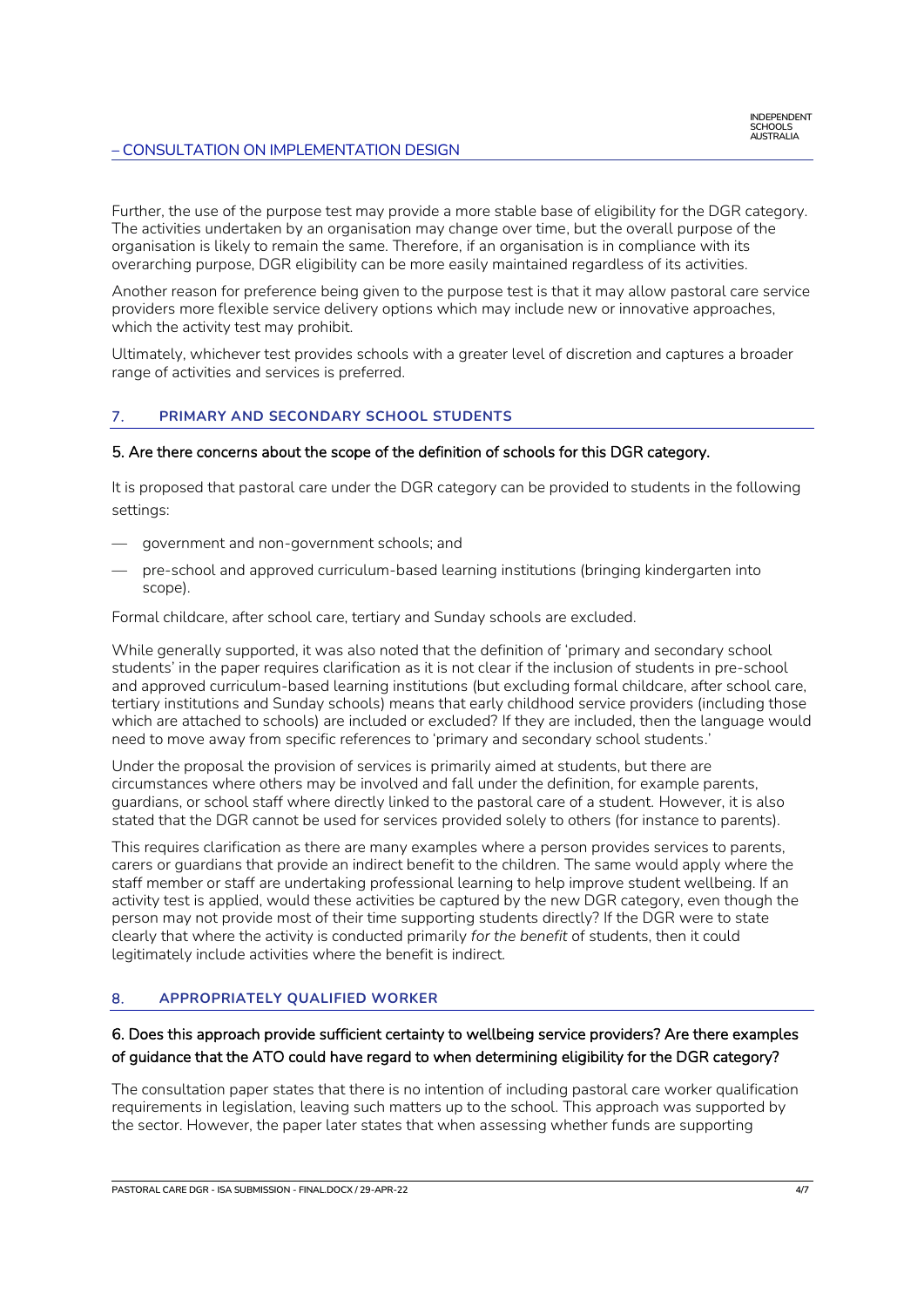Further, the use of the purpose test may provide a more stable base of eligibility for the DGR category. The activities undertaken by an organisation may change over time, but the overall purpose of the organisation is likely to remain the same. Therefore, if an organisation is in compliance with its overarching purpose, DGR eligibility can be more easily maintained regardless of its activities.

Another reason for preference being given to the purpose test is that it may allow pastoral care service providers more flexible service delivery options which may include new or innovative approaches, which the activity test may prohibit.

Ultimately, whichever test provides schools with a greater level of discretion and captures a broader range of activities and services is preferred.

#### 7. **PRIMARY AND SECONDARY SCHOOL STUDENTS**

#### 5. Are there concerns about the scope of the definition of schools for this DGR category.

It is proposed that pastoral care under the DGR category can be provided to students in the following settings:

- government and non-government schools; and
- pre-school and approved curriculum-based learning institutions (bringing kindergarten into scope).

Formal childcare, after school care, tertiary and Sunday schools are excluded.

While generally supported, it was also noted that the definition of 'primary and secondary school students' in the paper requires clarification as it is not clear if the inclusion of students in pre-school and approved curriculum-based learning institutions (but excluding formal childcare, after school care, tertiary institutions and Sunday schools) means that early childhood service providers (including those which are attached to schools) are included or excluded? If they are included, then the language would need to move away from specific references to 'primary and secondary school students.'

Under the proposal the provision of services is primarily aimed at students, but there are circumstances where others may be involved and fall under the definition, for example parents, guardians, or school staff where directly linked to the pastoral care of a student. However, it is also stated that the DGR cannot be used for services provided solely to others (for instance to parents).

This requires clarification as there are many examples where a person provides services to parents, carers or guardians that provide an indirect benefit to the children. The same would apply where the staff member or staff are undertaking professional learning to help improve student wellbeing. If an activity test is applied, would these activities be captured by the new DGR category, even though the person may not provide most of their time supporting students directly? If the DGR were to state clearly that where the activity is conducted primarily *for the benefit* of students, then it could legitimately include activities where the benefit is indirect.

# 8. **APPROPRIATELY QUALIFIED WORKER**

# 6. Does this approach provide sufficient certainty to wellbeing service providers? Are there examples of guidance that the ATO could have regard to when determining eligibility for the DGR category?

The consultation paper states that there is no intention of including pastoral care worker qualification requirements in legislation, leaving such matters up to the school. This approach was supported by the sector. However, the paper later states that when assessing whether funds are supporting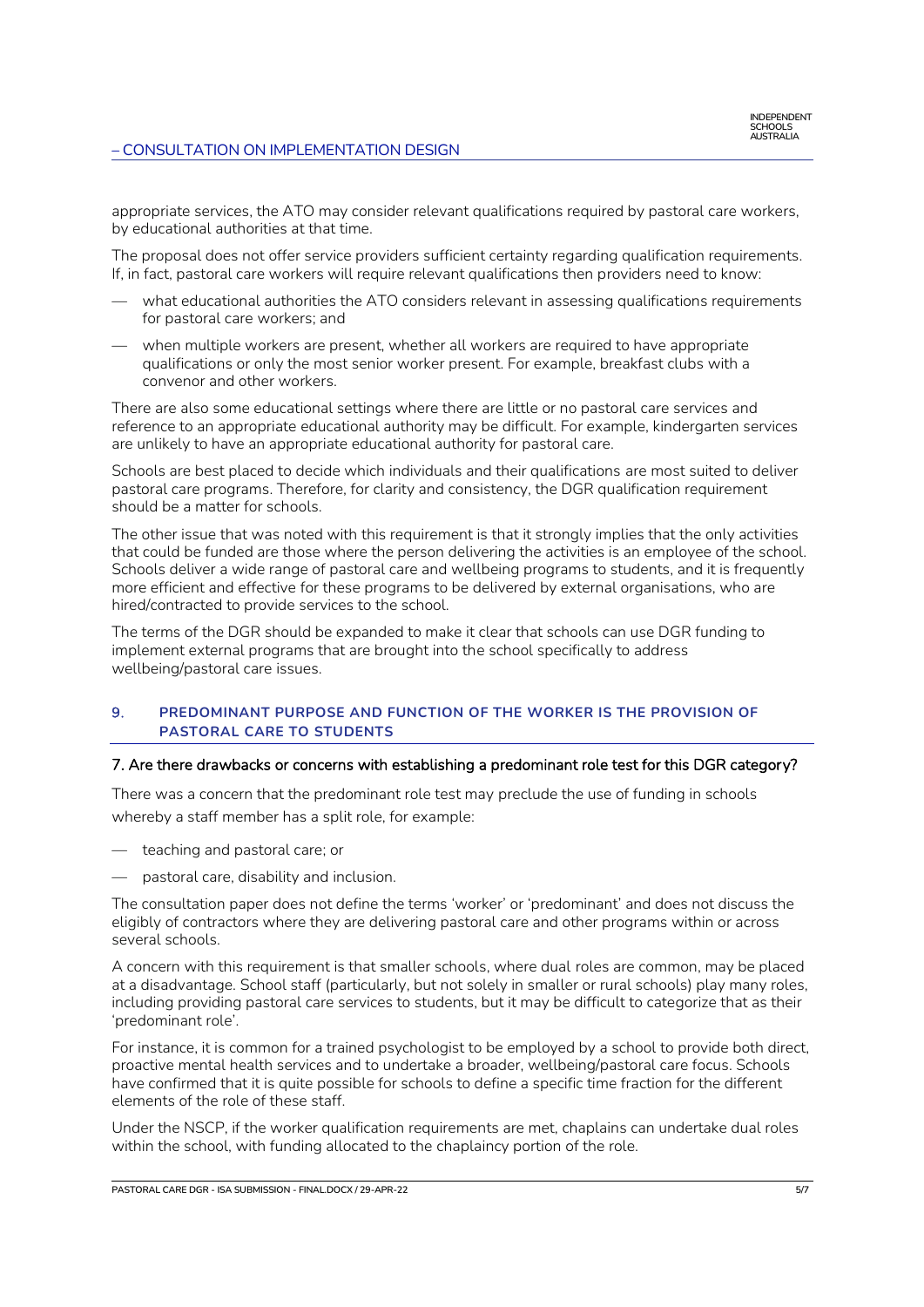appropriate services, the ATO may consider relevant qualifications required by pastoral care workers, by educational authorities at that time.

The proposal does not offer service providers sufficient certainty regarding qualification requirements. If, in fact, pastoral care workers will require relevant qualifications then providers need to know:

- what educational authorities the ATO considers relevant in assessing qualifications requirements for pastoral care workers; and
- when multiple workers are present, whether all workers are required to have appropriate qualifications or only the most senior worker present. For example, breakfast clubs with a convenor and other workers.

There are also some educational settings where there are little or no pastoral care services and reference to an appropriate educational authority may be difficult. For example, kindergarten services are unlikely to have an appropriate educational authority for pastoral care.

Schools are best placed to decide which individuals and their qualifications are most suited to deliver pastoral care programs. Therefore, for clarity and consistency, the DGR qualification requirement should be a matter for schools.

The other issue that was noted with this requirement is that it strongly implies that the only activities that could be funded are those where the person delivering the activities is an employee of the school. Schools deliver a wide range of pastoral care and wellbeing programs to students, and it is frequently more efficient and effective for these programs to be delivered by external organisations, who are hired/contracted to provide services to the school.

The terms of the DGR should be expanded to make it clear that schools can use DGR funding to implement external programs that are brought into the school specifically to address wellbeing/pastoral care issues.

#### 9. **PREDOMINANT PURPOSE AND FUNCTION OF THE WORKER IS THE PROVISION OF PASTORAL CARE TO STUDENTS**

#### 7. Are there drawbacks or concerns with establishing a predominant role test for this DGR category?

There was a concern that the predominant role test may preclude the use of funding in schools whereby a staff member has a split role, for example:

- teaching and pastoral care; or
- pastoral care, disability and inclusion.

The consultation paper does not define the terms 'worker' or 'predominant' and does not discuss the eligibly of contractors where they are delivering pastoral care and other programs within or across several schools.

A concern with this requirement is that smaller schools, where dual roles are common, may be placed at a disadvantage. School staff (particularly, but not solely in smaller or rural schools) play many roles, including providing pastoral care services to students, but it may be difficult to categorize that as their 'predominant role'.

For instance, it is common for a trained psychologist to be employed by a school to provide both direct, proactive mental health services and to undertake a broader, wellbeing/pastoral care focus. Schools have confirmed that it is quite possible for schools to define a specific time fraction for the different elements of the role of these staff.

Under the NSCP, if the worker qualification requirements are met, chaplains can undertake dual roles within the school, with funding allocated to the chaplaincy portion of the role.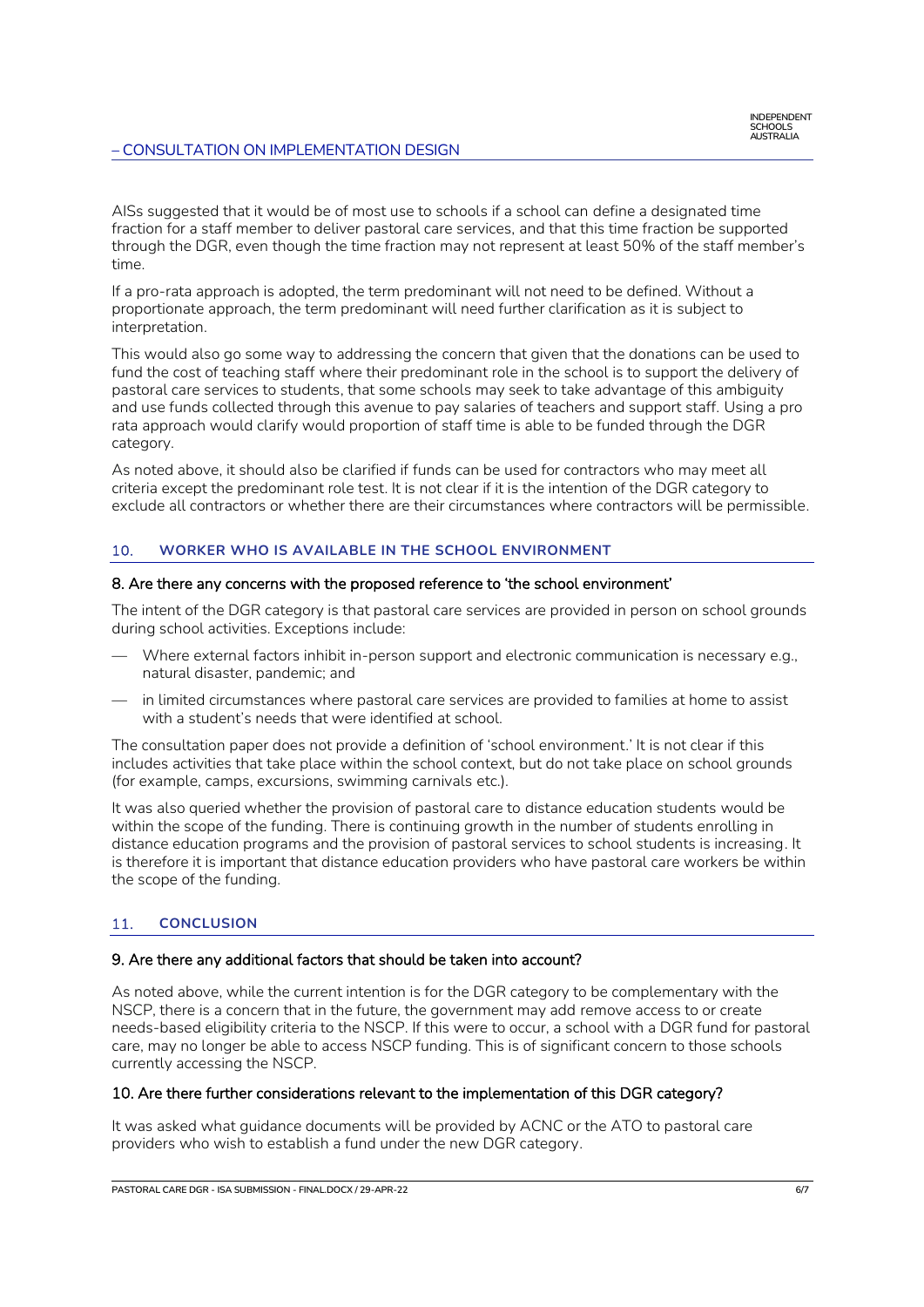AISs suggested that it would be of most use to schools if a school can define a designated time fraction for a staff member to deliver pastoral care services, and that this time fraction be supported through the DGR, even though the time fraction may not represent at least 50% of the staff member's time.

If a pro-rata approach is adopted, the term predominant will not need to be defined. Without a proportionate approach, the term predominant will need further clarification as it is subject to interpretation.

This would also go some way to addressing the concern that given that the donations can be used to fund the cost of teaching staff where their predominant role in the school is to support the delivery of pastoral care services to students, that some schools may seek to take advantage of this ambiguity and use funds collected through this avenue to pay salaries of teachers and support staff. Using a pro rata approach would clarify would proportion of staff time is able to be funded through the DGR category.

As noted above, it should also be clarified if funds can be used for contractors who may meet all criteria except the predominant role test. It is not clear if it is the intention of the DGR category to exclude all contractors or whether there are their circumstances where contractors will be permissible.

#### 10. **WORKER WHO IS AVAILABLE IN THE SCHOOL ENVIRONMENT**

#### 8. Are there any concerns with the proposed reference to 'the school environment'

The intent of the DGR category is that pastoral care services are provided in person on school grounds during school activities. Exceptions include:

- Where external factors inhibit in-person support and electronic communication is necessary e.g., natural disaster, pandemic; and
- in limited circumstances where pastoral care services are provided to families at home to assist with a student's needs that were identified at school.

The consultation paper does not provide a definition of 'school environment.' It is not clear if this includes activities that take place within the school context, but do not take place on school grounds (for example, camps, excursions, swimming carnivals etc.).

It was also queried whether the provision of pastoral care to distance education students would be within the scope of the funding. There is continuing growth in the number of students enrolling in distance education programs and the provision of pastoral services to school students is increasing. It is therefore it is important that distance education providers who have pastoral care workers be within the scope of the funding.

#### 11. **CONCLUSION**

#### 9. Are there any additional factors that should be taken into account?

As noted above, while the current intention is for the DGR category to be complementary with the NSCP, there is a concern that in the future, the government may add remove access to or create needs-based eligibility criteria to the NSCP. If this were to occur, a school with a DGR fund for pastoral care, may no longer be able to access NSCP funding. This is of significant concern to those schools currently accessing the NSCP.

#### 10. Are there further considerations relevant to the implementation of this DGR category?

It was asked what guidance documents will be provided by ACNC or the ATO to pastoral care providers who wish to establish a fund under the new DGR category.